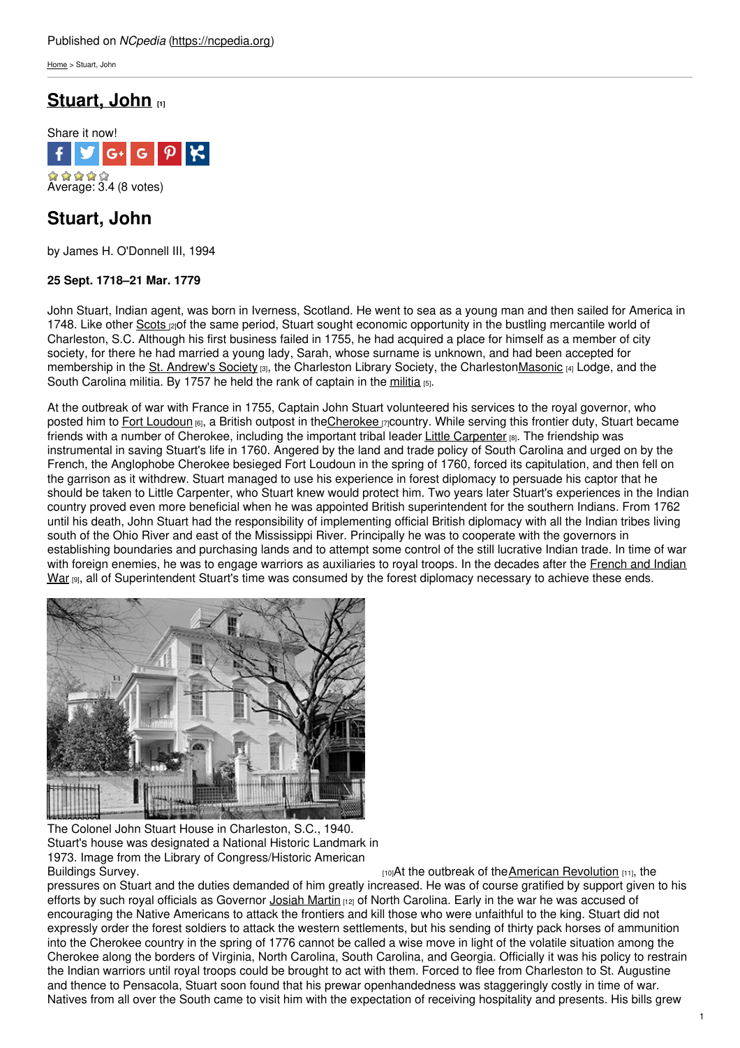[Home](https://ncpedia.org/) > Stuart, John

# **[Stuart,](https://ncpedia.org/biography/stuart-john) John [1]**



## **Stuart, John**

by James H. O'Donnell III, 1994

### **25 Sept. 1718–21 Mar. 1779**

John Stuart, Indian agent, was born in Iverness, Scotland. He went to sea as a young man and then sailed for America in 1748. Like other [Scots](https://ncpedia.org/scottish-settlers) [2] of the same period, Stuart sought economic opportunity in the bustling mercantile world of Charleston, S.C. Although his first [business](http://www.social9.com) failed in 1755, he had acquired a place for himself as a member of city society, for there he had married a young lady, Sarah, whose surname is unknown, and had been accepted for membership in the St. [Andrew's](http://standrewssocietyofcharlestonsc.org/) Society [3], the Charleston Library Society, the Charlesto[nMasonic](https://ncpedia.org/freemasons) [4] Lodge, and the South Carolina [militia](https://ncpedia.org/militias-colonial). By 1757 he held the rank of captain in the militia [5].

At the outbreak of war with France in 1755, Captain John Stuart volunteered his services to the royal governor, who posted him to Fort [Loudoun](http://fortloudoun.com/) [6], a British outpost in th[eCherokee](https://ncpedia.org/cherokee/overview) [7]country. While serving this frontier duty, Stuart became friends with a number of Cherokee, including the important tribal leader Little [Carpenter](https://ncpedia.org/biography/attakullakulla) [8]. The friendship was instrumental in saving Stuart's life in 1760. Angered by the land and trade policy of South Carolina and urged on by the French, the Anglophobe Cherokee besieged Fort Loudoun in the spring of 1760, forced its capitulation, and then fell on the garrison as it withdrew. Stuart managed to use his experience in forest diplomacy to persuade his captor that he should be taken to Little Carpenter, who Stuart knew would protect him. Two years later Stuart's experiences in the Indian country proved even more beneficial when he was appointed British superintendent for the southern Indians. From 1762 until his death, John Stuart had the responsibility of implementing official British diplomacy with all the Indian tribes living south of the Ohio River and east of the Mississippi River. Principally he was to cooperate with the governors in establishing boundaries and purchasing lands and to attempt some control of the still lucrative Indian trade. In time of war with foreign enemies, he was to engage warriors as auxiliaries to royal troops. In the decades after the French and Indian War [9], all of [Superintendent](https://ncpedia.org/french-and-indian-war-0) Stuart's time was consumed by the forest diplomacy necessary to achieve these ends.



The Colonel John Stuart House in Charleston, S.C., 1940. Stuart's house was designated a National Historic Landmark in 1973. Image from the Library of Congress/Historic American

[Buildings](http://loc.gov/pictures/resource/hhh.sc0226) Survey. Example 20 and the outbreak of the American [Revolution](https://ncpedia.org/american-revolution) [11], the pressures on Stuart and the duties demanded of him greatly increased. He was of course gratified by support given to his efforts by such royal officials as Governor [Josiah](https://ncpedia.org/martin-josiah) Martin [12] of North Carolina. Early in the war he was accused of encouraging the Native Americans to attack the frontiers and kill those who were unfaithful to the king. Stuart did not expressly order the forest soldiers to attack the western settlements, but his sending of thirty pack horses of ammunition into the Cherokee country in the spring of 1776 cannot be called a wise move in light of the volatile situation among the Cherokee along the borders of Virginia, North Carolina, South Carolina, and Georgia. Officially it was his policy to restrain the Indian warriors until royal troops could be brought to act with them. Forced to flee from Charleston to St. Augustine and thence to Pensacola, Stuart soon found that his prewar openhandedness was staggeringly costly in time of war. Natives from all over the South came to visit him with the expectation of receiving hospitality and presents. His bills grew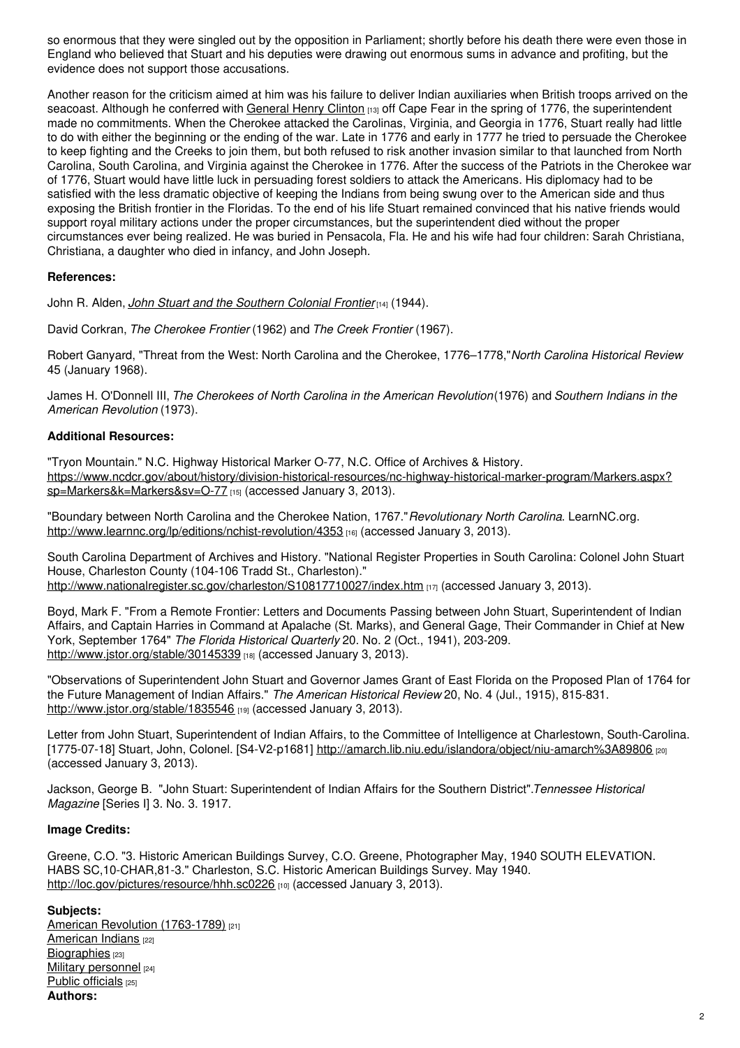so enormous that they were singled out by the opposition in Parliament; shortly before his death there were even those in England who believed that Stuart and his deputies were drawing out enormous sums in advance and profiting, but the evidence does not support those accusations.

Another reason for the criticism aimed at him was his failure to deliver Indian auxiliaries when British troops arrived on the seacoast. Although he conferred with [General](http://www.nottingham.ac.uk/manuscriptsandspecialcollections/collectionsindepth/family/newcastle/biographies/biographyofsirhenryclinton%281730-1795;armygeneral%29.aspx) Henry Clinton [13] off Cape Fear in the spring of 1776, the superintendent made no commitments. When the Cherokee attacked the Carolinas, Virginia, and Georgia in 1776, Stuart really had little to do with either the beginning or the ending of the war. Late in 1776 and early in 1777 he tried to persuade the Cherokee to keep fighting and the Creeks to join them, but both refused to risk another invasion similar to that launched from North Carolina, South Carolina, and Virginia against the Cherokee in 1776. After the success of the Patriots in the Cherokee war of 1776, Stuart would have little luck in persuading forest soldiers to attack the Americans. His diplomacy had to be satisfied with the less dramatic objective of keeping the Indians from being swung over to the American side and thus exposing the British frontier in the Floridas. To the end of his life Stuart remained convinced that his native friends would support royal military actions under the proper circumstances, but the superintendent died without the proper circumstances ever being realized. He was buried in Pensacola, Fla. He and his wife had four children: Sarah Christiana, Christiana, a daughter who died in infancy, and John Joseph.

#### **References:**

John R. Alden, *John Stuart and the [Southern](http://www.jstor.org/stable/1922770) Colonial Frontier*[14] (1944).

David Corkran, *The Cherokee Frontier* (1962) and *The Creek Frontier* (1967).

Robert Ganyard, "Threat from the West: North Carolina and the Cherokee, 1776–1778,"*North Carolina Historical Review* 45 (January 1968).

James H. O'Donnell III, *The Cherokees of North Carolina in the American Revolution*(1976) and *Southern Indians in the American Revolution* (1973).

#### **Additional Resources:**

"Tryon Mountain." N.C. Highway Historical Marker O-77, N.C. Office of Archives & History. [https://www.ncdcr.gov/about/history/division-historical-resources/nc-highway-historical-marker-program/Markers.aspx?](https://www.ncdcr.gov/about/history/division-historical-resources/nc-highway-historical-marker-program/Markers.aspx?sp=Markers&k=Markers&sv=O-77) sp=Markers&k=Markers&sv=O-77 [15] (accessed January 3, 2013).

"Boundary between North Carolina and the Cherokee Nation, 1767."*Revolutionary North Carolina*. LearnNC.org. <http://www.learnnc.org/lp/editions/nchist-revolution/4353> [16] (accessed January 3, 2013).

South Carolina Department of Archives and History. "National Register Properties in South Carolina: Colonel John Stuart House, Charleston County (104-106 Tradd St., Charleston)." <http://www.nationalregister.sc.gov/charleston/S10817710027/index.htm> [17] (accessed January 3, 2013).

Boyd, Mark F. "From a Remote Frontier: Letters and Documents Passing between John Stuart, Superintendent of Indian Affairs, and Captain Harries in Command at Apalache (St. Marks), and General Gage, Their Commander in Chief at New York, September 1764" *The Florida Historical Quarterly* 20. No. 2 (Oct., 1941), 203-209. <http://www.jstor.org/stable/30145339> [18] (accessed January 3, 2013).

"Observations of Superintendent John Stuart and Governor James Grant of East Florida on the Proposed Plan of 1764 for the Future Management of Indian Affairs." *The American Historical Review* 20, No. 4 (Jul., 1915), 815-831. <http://www.jstor.org/stable/1835546> [19] (accessed January 3, 2013).

Letter from John Stuart, Superintendent of Indian Affairs, to the Committee of Intelligence at Charlestown, South-Carolina. [1775-07-18] Stuart, John, Colonel. [S4-V2-p1681] <http://amarch.lib.niu.edu/islandora/object/niu-amarch%3A89806> [20] (accessed January 3, 2013).

Jackson, George B. "John Stuart: Superintendent of Indian Affairs for the Southern District".*Tennessee Historical Magazine* [Series I] 3. No. 3. 1917.

### **Image Credits:**

Greene, C.O. "3. Historic American Buildings Survey, C.O. Greene, Photographer May, 1940 SOUTH ELEVATION. HABS SC,10-CHAR,81-3." Charleston, S.C. Historic American Buildings Survey. May 1940. <http://loc.gov/pictures/resource/hhh.sc0226> [10] (accessed January 3, 2013).

#### **Subjects:**

American Revolution [\(1763-1789\)](https://ncpedia.org/category/subjects/us-revolution) [21] [American](https://ncpedia.org/category/subjects/american-indian) Indians [22] [Biographies](https://ncpedia.org/category/subjects/biography-term) [23] Military [personnel](https://ncpedia.org/category/subjects/soldiers) [24] Public [officials](https://ncpedia.org/category/subjects/public-officials) [25] **Authors:**